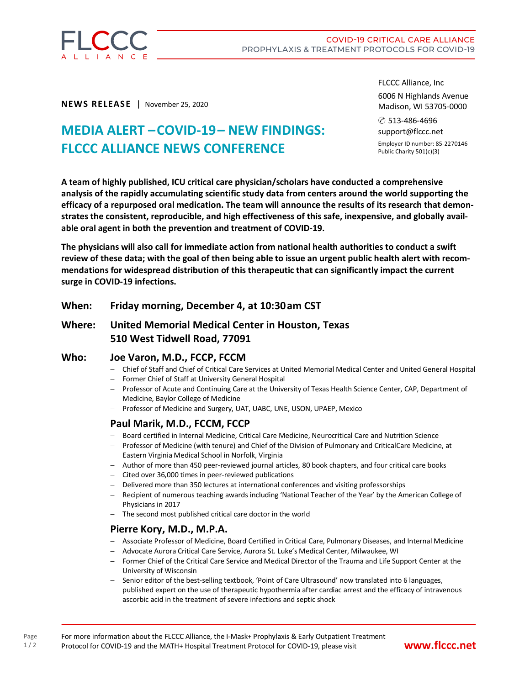

**NEWS RELEASE** | November 25, 2020

# **MEDIA ALERT –COVID-19– NEW FINDINGS: FLCCC ALLIANCE NEWS CONFERENCE**

FLCCC Alliance, Inc

6006 N Highlands Avenue Madison, WI 53705-0000

✆ 513-486-4696 support@flccc.net

Employer ID number: 85-2270146 Public Charity 501(c)(3)

**A team of highly published, ICU critical care physician/scholars have conducted a comprehensive analysis of the rapidly accumulating scientific study data from centers around the world supporting the efficacy of a repurposed oral medication. The team will announce the results of its research that demonstrates the consistent, reproducible, and high effectiveness of this safe, inexpensive, and globally available oral agent in both the prevention and treatment of COVID-19.**

**The physicians will also call for immediate action from national health authorities to conduct a swift** review of these data; with the goal of then being able to issue an urgent public health alert with recom**mendations for widespread distribution of this therapeutic that can significantly impact the current surge in COVID-19 infections.** 

**When: Friday morning, December 4, at 10:30am CST**

# **Where: United Memorial Medical Center in Houston, Texas 510 West Tidwell Road, 77091**

## **Who: Joe Varon, M.D., FCCP, FCCM**

- Chief of Staff and Chief of Critical Care Services at United Memorial Medical Center and United General Hospital
- Former Chief of Staff at University General Hospital
- Professor of Acute and Continuing Care at the University of Texas Health Science Center, CAP, Department of Medicine, Baylor College of Medicine
- Professor of Medicine and Surgery, UAT, UABC, UNE, USON, UPAEP, Mexico

# **Paul Marik, M.D., FCCM, FCCP**

- Board certified in Internal Medicine, Critical Care Medicine, Neurocritical Care and Nutrition Science
- Professor of Medicine (with tenure) and Chief of the Division of Pulmonary and CriticalCare Medicine, at Eastern Virginia Medical School in Norfolk, Virginia
- Author of more than 450 peer-reviewed journal articles, 80 book chapters, and four critical care books
- Cited over 36,000 times in peer-reviewed publications
- Delivered more than 350 lectures at international conferences and visiting professorships
- Recipient of numerous teaching awards including 'National Teacher of the Year' by the American College of Physicians in 2017
- The second most published critical care doctor in the world

## **Pierre Kory, M.D., M.P.A.**

Page  $1/2$ 

- Associate Professor of Medicine, Board Certified in Critical Care, Pulmonary Diseases, and Internal Medicine
- Advocate Aurora Critical Care Service, Aurora St. Luke's Medical Center, Milwaukee, WI
- Former Chief of the Critical Care Service and Medical Director of the Trauma and Life Support Center at the University of Wisconsin
- Senior editor of the best-selling textbook, 'Point of Care Ultrasound' now translated into 6 languages, published expert on the use of therapeutic hypothermia after cardiac arrest and the efficacy of intravenous ascorbic acid in the treatment of severe infections and septic shock